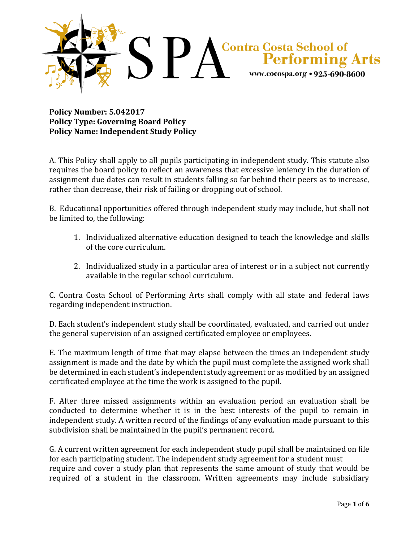

**Policy Number: 5.042017 Policy Type: Governing Board Policy Policy Name: Independent Study Policy**

A. This Policy shall apply to all pupils participating in independent study. This statute also requires the board policy to reflect an awareness that excessive leniency in the duration of assignment due dates can result in students falling so far behind their peers as to increase, rather than decrease, their risk of failing or dropping out of school.

B. Educational opportunities offered through independent study may include, but shall not be limited to, the following:

- 1. Individualized alternative education designed to teach the knowledge and skills of the core curriculum.
- 2. Individualized study in a particular area of interest or in a subject not currently available in the regular school curriculum.

C. Contra Costa School of Performing Arts shall comply with all state and federal laws regarding independent instruction.

D. Each student's independent study shall be coordinated, evaluated, and carried out under the general supervision of an assigned certificated employee or employees.

E. The maximum length of time that may elapse between the times an independent study assignment is made and the date by which the pupil must complete the assigned work shall be determined in each student's independent study agreement or as modified by an assigned certificated employee at the time the work is assigned to the pupil.

F. After three missed assignments within an evaluation period an evaluation shall be conducted to determine whether it is in the best interests of the pupil to remain in independent study. A written record of the findings of any evaluation made pursuant to this subdivision shall be maintained in the pupil's permanent record.

G. A current written agreement for each independent study pupil shall be maintained on file for each participating student. The independent study agreement for a student must require and cover a study plan that represents the same amount of study that would be required of a student in the classroom. Written agreements may include subsidiary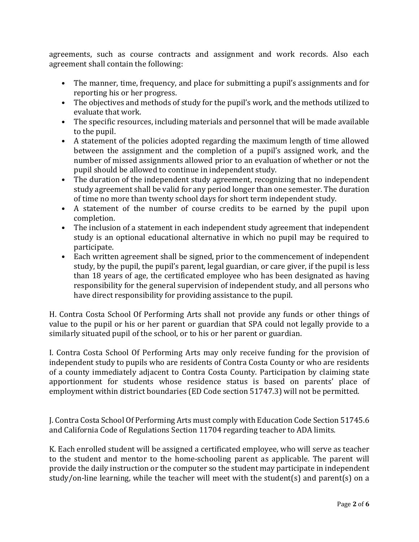agreements, such as course contracts and assignment and work records. Also each agreement shall contain the following:

- The manner, time, frequency, and place for submitting a pupil's assignments and for reporting his or her progress.
- The objectives and methods of study for the pupil's work, and the methods utilized to evaluate that work.
- The specific resources, including materials and personnel that will be made available to the pupil.
- A statement of the policies adopted regarding the maximum length of time allowed between the assignment and the completion of a pupil's assigned work, and the number of missed assignments allowed prior to an evaluation of whether or not the pupil should be allowed to continue in independent study.
- The duration of the independent study agreement, recognizing that no independent study agreement shall be valid for any period longer than one semester. The duration of time no more than twenty school days for short term independent study.
- A statement of the number of course credits to be earned by the pupil upon completion.
- The inclusion of a statement in each independent study agreement that independent study is an optional educational alternative in which no pupil may be required to participate.
- Each written agreement shall be signed, prior to the commencement of independent study, by the pupil, the pupil's parent, legal guardian, or care giver, if the pupil is less than 18 years of age, the certificated employee who has been designated as having responsibility for the general supervision of independent study, and all persons who have direct responsibility for providing assistance to the pupil.

H. Contra Costa School Of Performing Arts shall not provide any funds or other things of value to the pupil or his or her parent or guardian that SPA could not legally provide to a similarly situated pupil of the school, or to his or her parent or guardian.

I. Contra Costa School Of Performing Arts may only receive funding for the provision of independent study to pupils who are residents of Contra Costa County or who are residents of a county immediately adjacent to Contra Costa County. Participation by claiming state apportionment for students whose residence status is based on parents' place of employment within district boundaries (ED Code section 51747.3) will not be permitted.

J. Contra Costa School Of Performing Arts must comply with Education Code Section 51745.6 and California Code of Regulations Section 11704 regarding teacher to ADA limits.

K. Each enrolled student will be assigned a certificated employee, who will serve as teacher to the student and mentor to the home-schooling parent as applicable. The parent will provide the daily instruction or the computer so the student may participate in independent study/on-line learning, while the teacher will meet with the student(s) and parent(s) on a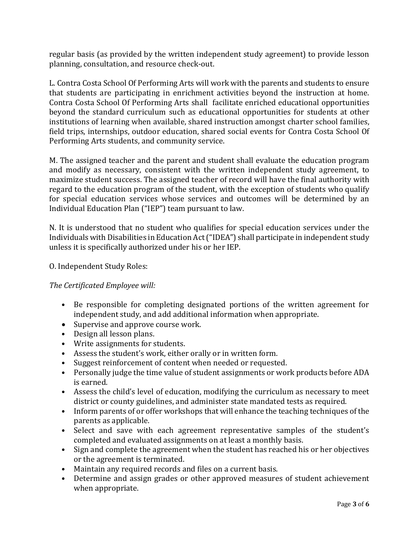regular basis (as provided by the written independent study agreement) to provide lesson planning, consultation, and resource check-out.

L. Contra Costa School Of Performing Arts will work with the parents and students to ensure that students are participating in enrichment activities beyond the instruction at home. Contra Costa School Of Performing Arts shall facilitate enriched educational opportunities beyond the standard curriculum such as educational opportunities for students at other institutions of learning when available, shared instruction amongst charter school families, field trips, internships, outdoor education, shared social events for Contra Costa School Of Performing Arts students, and community service.

M. The assigned teacher and the parent and student shall evaluate the education program and modify as necessary, consistent with the written independent study agreement, to maximize student success. The assigned teacher of record will have the final authority with regard to the education program of the student, with the exception of students who qualify for special education services whose services and outcomes will be determined by an Individual Education Plan ("IEP") team pursuant to law.

N. It is understood that no student who qualifies for special education services under the Individuals with Disabilities in Education Act ("IDEA") shall participate in independent study unless it is specifically authorized under his or her IEP.

# O. Independent Study Roles:

# *The Certificated Employee will:*

- Be responsible for completing designated portions of the written agreement for independent study, and add additional information when appropriate.
- Supervise and approve course work.
- Design all lesson plans.
- Write assignments for students.
- Assess the student's work, either orally or in written form.
- Suggest reinforcement of content when needed or requested.
- Personally judge the time value of student assignments or work products before ADA is earned.
- Assess the child's level of education, modifying the curriculum as necessary to meet district or county guidelines, and administer state mandated tests as required.
- Inform parents of or offer workshops that will enhance the teaching techniques of the parents as applicable.
- Select and save with each agreement representative samples of the student's completed and evaluated assignments on at least a monthly basis.
- Sign and complete the agreement when the student has reached his or her objectives or the agreement is terminated.
- Maintain any required records and files on a current basis.
- Determine and assign grades or other approved measures of student achievement when appropriate.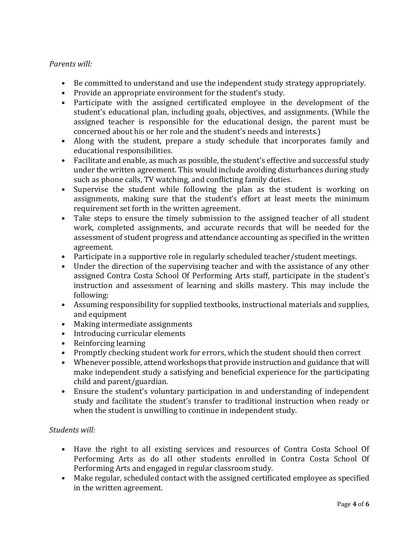# *Parents will:*

- Be committed to understand and use the independent study strategy appropriately.
- Provide an appropriate environment for the student's study.
- Participate with the assigned certificated employee in the development of the student's educational plan, including goals, objectives, and assignments. (While the assigned teacher is responsible for the educational design, the parent must be concerned about his or her role and the student's needs and interests.)
- Along with the student, prepare a study schedule that incorporates family and educational responsibilities.
- Facilitate and enable, as much as possible, the student's effective and successful study under the written agreement. This would include avoiding disturbances during study such as phone calls, TV watching, and conflicting family duties.
- Supervise the student while following the plan as the student is working on assignments, making sure that the student's effort at least meets the minimum requirement set forth in the written agreement.
- Take steps to ensure the timely submission to the assigned teacher of all student work, completed assignments, and accurate records that will be needed for the assessment of student progress and attendance accounting as specified in the written agreement.
- Participate in a supportive role in regularly scheduled teacher/student meetings.
- Under the direction of the supervising teacher and with the assistance of any other assigned Contra Costa School Of Performing Arts staff, participate in the student's instruction and assessment of learning and skills mastery. This may include the following:
- Assuming responsibility for supplied textbooks, instructional materials and supplies, and equipment
- Making intermediate assignments
- Introducing curricular elements
- Reinforcing learning
- Promptly checking student work for errors, which the student should then correct
- Whenever possible, attend workshops that provide instruction and guidance that will make independent study a satisfying and beneficial experience for the participating child and parent/guardian.
- Ensure the student's voluntary participation in and understanding of independent study and facilitate the student's transfer to traditional instruction when ready or when the student is unwilling to continue in independent study.

# *Students will:*

- Have the right to all existing services and resources of Contra Costa School Of Performing Arts as do all other students enrolled in Contra Costa School Of Performing Arts and engaged in regular classroom study.
- Make regular, scheduled contact with the assigned certificated employee as specified in the written agreement.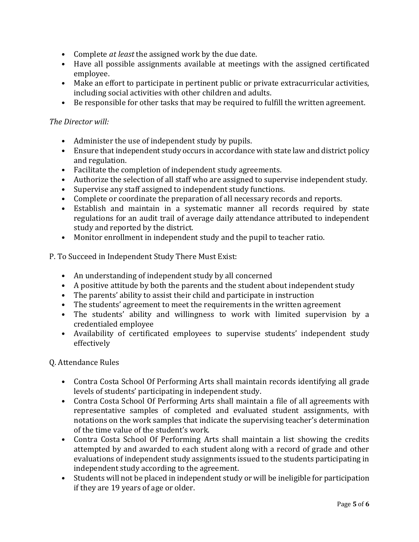- Complete *at least* the assigned work by the due date.
- Have all possible assignments available at meetings with the assigned certificated employee.
- Make an effort to participate in pertinent public or private extracurricular activities, including social activities with other children and adults.
- Be responsible for other tasks that may be required to fulfill the written agreement.

### *The Director will:*

- Administer the use of independent study by pupils.
- Ensure that independent study occurs in accordance with state law and district policy and regulation.
- Facilitate the completion of independent study agreements.
- Authorize the selection of all staff who are assigned to supervise independent study.
- Supervise any staff assigned to independent study functions.
- Complete or coordinate the preparation of all necessary records and reports.
- Establish and maintain in a systematic manner all records required by state regulations for an audit trail of average daily attendance attributed to independent study and reported by the district.
- Monitor enrollment in independent study and the pupil to teacher ratio.

P. To Succeed in Independent Study There Must Exist:

- An understanding of independent study by all concerned
- A positive attitude by both the parents and the student about independent study
- The parents' ability to assist their child and participate in instruction
- The students' agreement to meet the requirements in the written agreement
- The students' ability and willingness to work with limited supervision by a credentialed employee
- Availability of certificated employees to supervise students' independent study effectively

Q. Attendance Rules

- Contra Costa School Of Performing Arts shall maintain records identifying all grade levels of students' participating in independent study.
- Contra Costa School Of Performing Arts shall maintain a file of all agreements with representative samples of completed and evaluated student assignments, with notations on the work samples that indicate the supervising teacher's determination of the time value of the student's work.
- Contra Costa School Of Performing Arts shall maintain a list showing the credits attempted by and awarded to each student along with a record of grade and other evaluations of independent study assignments issued to the students participating in independent study according to the agreement.
- Students will not be placed in independent study or will be ineligible for participation if they are 19 years of age or older.